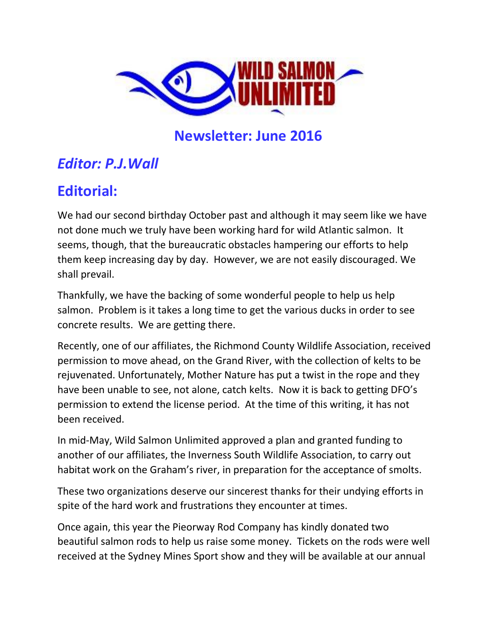

# **Newsletter: June 2016**

# *Editor: P.J.Wall*

# **Editorial:**

We had our second birthday October past and although it may seem like we have not done much we truly have been working hard for wild Atlantic salmon. It seems, though, that the bureaucratic obstacles hampering our efforts to help them keep increasing day by day. However, we are not easily discouraged. We shall prevail.

Thankfully, we have the backing of some wonderful people to help us help salmon. Problem is it takes a long time to get the various ducks in order to see concrete results. We are getting there.

Recently, one of our affiliates, the Richmond County Wildlife Association, received permission to move ahead, on the Grand River, with the collection of kelts to be rejuvenated. Unfortunately, Mother Nature has put a twist in the rope and they have been unable to see, not alone, catch kelts. Now it is back to getting DFO's permission to extend the license period. At the time of this writing, it has not been received.

In mid-May, Wild Salmon Unlimited approved a plan and granted funding to another of our affiliates, the Inverness South Wildlife Association, to carry out habitat work on the Graham's river, in preparation for the acceptance of smolts.

These two organizations deserve our sincerest thanks for their undying efforts in spite of the hard work and frustrations they encounter at times.

Once again, this year the Pieorway Rod Company has kindly donated two beautiful salmon rods to help us raise some money. Tickets on the rods were well received at the Sydney Mines Sport show and they will be available at our annual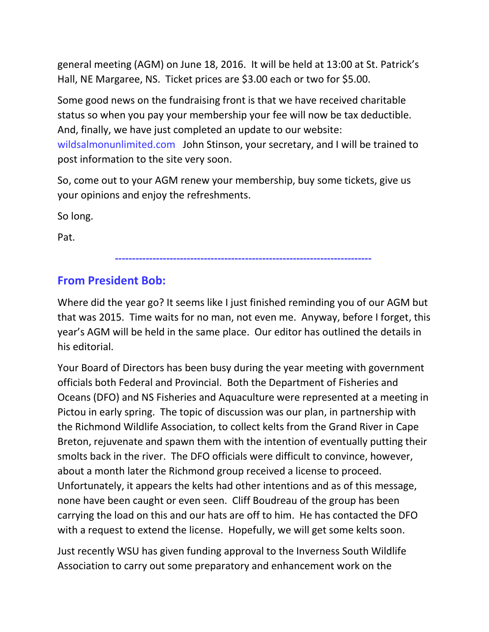general meeting (AGM) on June 18, 2016. It will be held at 13:00 at St. Patrick's Hall, NE Margaree, NS. Ticket prices are \$3.00 each or two for \$5.00.

Some good news on the fundraising front is that we have received charitable status so when you pay your membership your fee will now be tax deductible. And, finally, we have just completed an update to our website: wildsalmonunlimited.com John Stinson, your secretary, and I will be trained to post information to the site very soon.

So, come out to your AGM renew your membership, buy some tickets, give us your opinions and enjoy the refreshments.

So long.

Pat.

#### **---------------------------------------------------------------------------**

#### **From President Bob:**

Where did the year go? It seems like I just finished reminding you of our AGM but that was 2015. Time waits for no man, not even me. Anyway, before I forget, this year's AGM will be held in the same place. Our editor has outlined the details in his editorial.

Your Board of Directors has been busy during the year meeting with government officials both Federal and Provincial. Both the Department of Fisheries and Oceans (DFO) and NS Fisheries and Aquaculture were represented at a meeting in Pictou in early spring. The topic of discussion was our plan, in partnership with the Richmond Wildlife Association, to collect kelts from the Grand River in Cape Breton, rejuvenate and spawn them with the intention of eventually putting their smolts back in the river. The DFO officials were difficult to convince, however, about a month later the Richmond group received a license to proceed. Unfortunately, it appears the kelts had other intentions and as of this message, none have been caught or even seen. Cliff Boudreau of the group has been carrying the load on this and our hats are off to him. He has contacted the DFO with a request to extend the license. Hopefully, we will get some kelts soon.

Just recently WSU has given funding approval to the Inverness South Wildlife Association to carry out some preparatory and enhancement work on the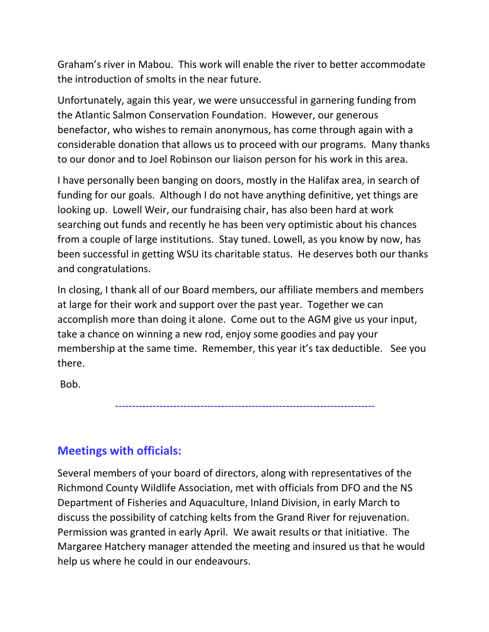Graham's river in Mabou. This work will enable the river to better accommodate the introduction of smolts in the near future.

Unfortunately, again this year, we were unsuccessful in garnering funding from the Atlantic Salmon Conservation Foundation. However, our generous benefactor, who wishes to remain anonymous, has come through again with a considerable donation that allows us to proceed with our programs. Many thanks to our donor and to Joel Robinson our liaison person for his work in this area.

I have personally been banging on doors, mostly in the Halifax area, in search of funding for our goals. Although I do not have anything definitive, yet things are looking up. Lowell Weir, our fundraising chair, has also been hard at work searching out funds and recently he has been very optimistic about his chances from a couple of large institutions. Stay tuned. Lowell, as you know by now, has been successful in getting WSU its charitable status. He deserves both our thanks and congratulations.

In closing, I thank all of our Board members, our affiliate members and members at large for their work and support over the past year. Together we can accomplish more than doing it alone. Come out to the AGM give us your input, take a chance on winning a new rod, enjoy some goodies and pay your membership at the same time. Remember, this year it's tax deductible. See you there.

Bob.

----------------------------------------------------------------------------

## **Meetings with officials:**

Several members of your board of directors, along with representatives of the Richmond County Wildlife Association, met with officials from DFO and the NS Department of Fisheries and Aquaculture, Inland Division, in early March to discuss the possibility of catching kelts from the Grand River for rejuvenation. Permission was granted in early April. We await results or that initiative. The Margaree Hatchery manager attended the meeting and insured us that he would help us where he could in our endeavours.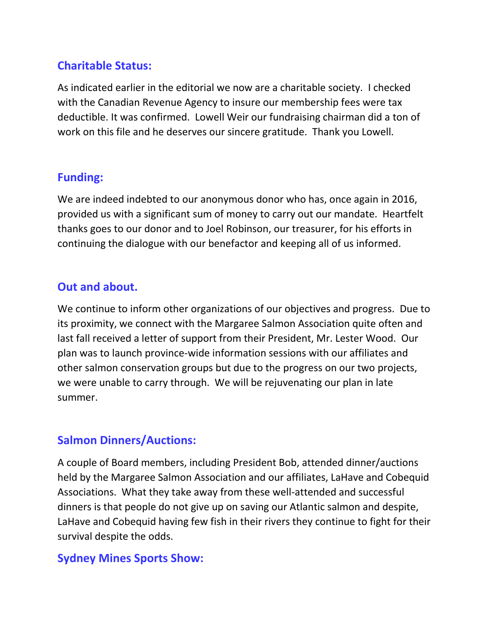### **Charitable Status:**

As indicated earlier in the editorial we now are a charitable society. I checked with the Canadian Revenue Agency to insure our membership fees were tax deductible. It was confirmed. Lowell Weir our fundraising chairman did a ton of work on this file and he deserves our sincere gratitude. Thank you Lowell.

### **Funding:**

We are indeed indebted to our anonymous donor who has, once again in 2016, provided us with a significant sum of money to carry out our mandate. Heartfelt thanks goes to our donor and to Joel Robinson, our treasurer, for his efforts in continuing the dialogue with our benefactor and keeping all of us informed.

#### **Out and about.**

We continue to inform other organizations of our objectives and progress. Due to its proximity, we connect with the Margaree Salmon Association quite often and last fall received a letter of support from their President, Mr. Lester Wood. Our plan was to launch province-wide information sessions with our affiliates and other salmon conservation groups but due to the progress on our two projects, we were unable to carry through. We will be rejuvenating our plan in late summer.

#### **Salmon Dinners/Auctions:**

A couple of Board members, including President Bob, attended dinner/auctions held by the Margaree Salmon Association and our affiliates, LaHave and Cobequid Associations. What they take away from these well-attended and successful dinners is that people do not give up on saving our Atlantic salmon and despite, LaHave and Cobequid having few fish in their rivers they continue to fight for their survival despite the odds.

### **Sydney Mines Sports Show:**